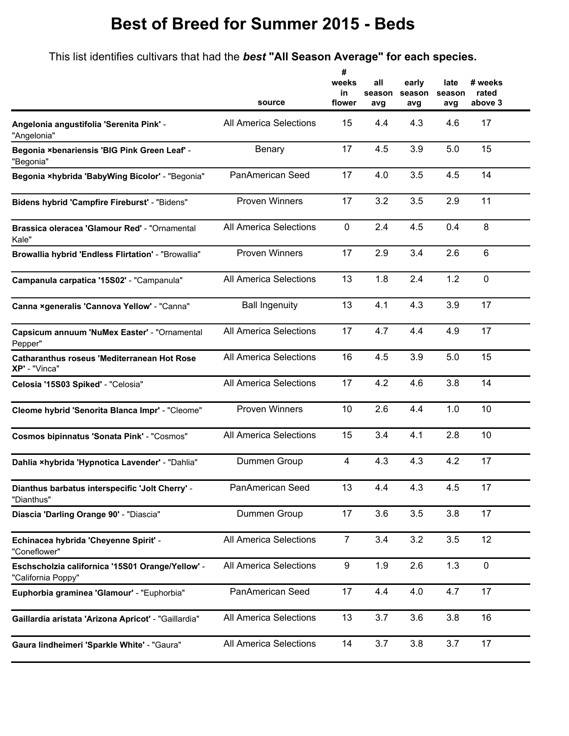## **Best of Breed for Summer 2015 - Beds**

This list identifies cultivars that had the *best* **"All Season Average" for each species.**

**#**

|                                                                        | source                        | #<br>weeks<br>in<br>flower | all<br>season<br>avg | early<br>season<br>avg | late<br>season<br>avg | # weeks<br>rated<br>above 3 |
|------------------------------------------------------------------------|-------------------------------|----------------------------|----------------------|------------------------|-----------------------|-----------------------------|
| Angelonia angustifolia 'Serenita Pink' -<br>"Angelonia"                | All America Selections        | 15                         | 4.4                  | 4.3                    | 4.6                   | 17                          |
| Begonia ×benariensis 'BIG Pink Green Leaf' -<br>"Begonia"              | Benary                        | 17                         | 4.5                  | 3.9                    | 5.0                   | 15                          |
| Begonia ×hybrida 'BabyWing Bicolor' - "Begonia"                        | PanAmerican Seed              | 17                         | 4.0                  | 3.5                    | 4.5                   | 14                          |
| Bidens hybrid 'Campfire Fireburst' - "Bidens"                          | <b>Proven Winners</b>         | 17                         | 3.2                  | 3.5                    | 2.9                   | 11                          |
| Brassica oleracea 'Glamour Red' - "Ornamental<br>Kale"                 | All America Selections        | $\pmb{0}$                  | 2.4                  | 4.5                    | 0.4                   | 8                           |
| Browallia hybrid 'Endless Flirtation' - "Browallia"                    | <b>Proven Winners</b>         | 17                         | 2.9                  | 3.4                    | 2.6                   | 6                           |
| Campanula carpatica '15S02' - "Campanula"                              | All America Selections        | 13                         | 1.8                  | 2.4                    | 1.2                   | $\mathbf 0$                 |
| Canna xgeneralis 'Cannova Yellow' - "Canna"                            | <b>Ball Ingenuity</b>         | 13                         | 4.1                  | 4.3                    | 3.9                   | 17                          |
| Capsicum annuum 'NuMex Easter' - "Ornamental<br>Pepper"                | <b>All America Selections</b> | 17                         | 4.7                  | 4.4                    | 4.9                   | 17                          |
| <b>Catharanthus roseus 'Mediterranean Hot Rose</b><br>XP' - "Vinca"    | All America Selections        | 16                         | 4.5                  | 3.9                    | 5.0                   | 15                          |
| Celosia '15S03 Spiked' - "Celosia"                                     | All America Selections        | 17                         | 4.2                  | 4.6                    | 3.8                   | 14                          |
| Cleome hybrid 'Senorita Blanca Impr' - "Cleome"                        | <b>Proven Winners</b>         | 10                         | 2.6                  | 4.4                    | 1.0                   | 10                          |
| <b>Cosmos bipinnatus 'Sonata Pink' - "Cosmos"</b>                      | All America Selections        | 15                         | 3.4                  | 4.1                    | 2.8                   | 10                          |
| Dahlia xhybrida 'Hypnotica Lavender' - "Dahlia"                        | Dummen Group                  | 4                          | 4.3                  | 4.3                    | 4.2                   | 17                          |
| Dianthus barbatus interspecific 'Jolt Cherry' -<br>"Dianthus"          | PanAmerican Seed              | 13                         | 4.4                  | 4.3                    | 4.5                   | 17                          |
| Diascia 'Darling Orange 90' - "Diascia"                                | Dummen Group                  | 17                         | 3.6                  | 3.5                    | 3.8                   | 17                          |
| Echinacea hybrida 'Cheyenne Spirit' -<br>"Coneflower"                  | All America Selections        | $\overline{7}$             | 3.4                  | 3.2                    | 3.5                   | 12                          |
| Eschscholzia californica '15S01 Orange/Yellow' -<br>"California Poppy" | All America Selections        | 9                          | 1.9                  | 2.6                    | 1.3                   | $\mathbf 0$                 |
| Euphorbia graminea 'Glamour' - "Euphorbia"                             | PanAmerican Seed              | 17                         | 4.4                  | 4.0                    | 4.7                   | 17                          |
| Gaillardia aristata 'Arizona Apricot' - "Gaillardia"                   | All America Selections        | 13                         | 3.7                  | 3.6                    | 3.8                   | 16                          |
| Gaura lindheimeri 'Sparkle White' - "Gaura"                            | All America Selections        | 14                         | 3.7                  | 3.8                    | 3.7                   | 17                          |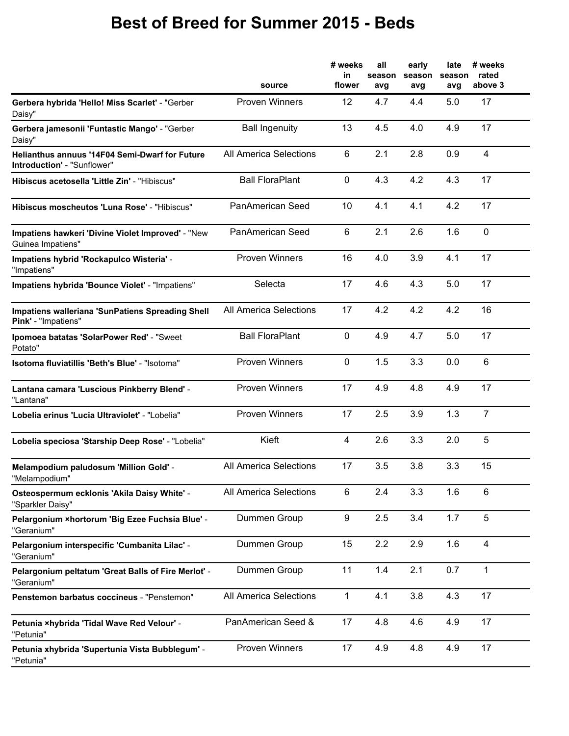## **Best of Breed for Summer 2015 - Beds**

|                                                                                      | source                        | # weeks<br>in<br>flower | all<br>season<br>avg | early<br>season<br>avg | late<br>season<br>avg | # weeks<br>rated<br>above 3 |
|--------------------------------------------------------------------------------------|-------------------------------|-------------------------|----------------------|------------------------|-----------------------|-----------------------------|
| Gerbera hybrida 'Hello! Miss Scarlet' - "Gerber<br>Daisy"                            | <b>Proven Winners</b>         | 12                      | 4.7                  | 4.4                    | 5.0                   | 17                          |
| Gerbera jamesonii 'Funtastic Mango' - "Gerber<br>Daisy"                              | <b>Ball Ingenuity</b>         | 13                      | 4.5                  | 4.0                    | 4.9                   | 17                          |
| Helianthus annuus '14F04 Semi-Dwarf for Future<br><b>Introduction'</b> - "Sunflower" | <b>All America Selections</b> | 6                       | 2.1                  | 2.8                    | 0.9                   | $\overline{4}$              |
| Hibiscus acetosella 'Little Zin' - "Hibiscus"                                        | <b>Ball FloraPlant</b>        | 0                       | 4.3                  | 4.2                    | 4.3                   | 17                          |
| Hibiscus moscheutos 'Luna Rose' - "Hibiscus"                                         | PanAmerican Seed              | 10                      | 4.1                  | 4.1                    | 4.2                   | 17                          |
| Impatiens hawkeri 'Divine Violet Improved' - "New<br>Guinea Impatiens"               | PanAmerican Seed              | 6                       | 2.1                  | 2.6                    | 1.6                   | $\mathbf 0$                 |
| Impatiens hybrid 'Rockapulco Wisteria' -<br>"Impatiens"                              | <b>Proven Winners</b>         | 16                      | 4.0                  | 3.9                    | 4.1                   | 17                          |
| Impatiens hybrida 'Bounce Violet' - "Impatiens"                                      | Selecta                       | 17                      | 4.6                  | 4.3                    | 5.0                   | 17                          |
| Impatiens walleriana 'SunPatiens Spreading Shell<br>Pink' - "Impatiens"              | <b>All America Selections</b> | 17                      | 4.2                  | 4.2                    | 4.2                   | 16                          |
| Ipomoea batatas 'SolarPower Red' - "Sweet"<br>Potato"                                | <b>Ball FloraPlant</b>        | 0                       | 4.9                  | 4.7                    | 5.0                   | 17                          |
| Isotoma fluviatillis 'Beth's Blue' - "Isotoma"                                       | <b>Proven Winners</b>         | $\mathbf 0$             | 1.5                  | 3.3                    | 0.0                   | 6                           |
| Lantana camara 'Luscious Pinkberry Blend' -<br>"Lantana"                             | <b>Proven Winners</b>         | 17                      | 4.9                  | 4.8                    | 4.9                   | 17                          |
| Lobelia erinus 'Lucia Ultraviolet' - "Lobelia"                                       | <b>Proven Winners</b>         | 17                      | 2.5                  | 3.9                    | 1.3                   | $\overline{7}$              |
| Lobelia speciosa 'Starship Deep Rose' - "Lobelia"                                    | Kieft                         | $\overline{4}$          | 2.6                  | 3.3                    | 2.0                   | 5                           |
| Melampodium paludosum 'Million Gold' -<br>"Melampodium"                              | <b>All America Selections</b> | 17                      | 3.5                  | 3.8                    | 3.3                   | 15                          |
| Osteospermum ecklonis 'Akila Daisy White' -<br>"Sparkler Daisy"                      | All America Selections        | 6                       | 2.4                  | 3.3                    | 1.6                   | 6                           |
| Pelargonium ×hortorum 'Big Ezee Fuchsia Blue' -<br>"Geranium"                        | Dummen Group                  | 9                       | 2.5                  | 3.4                    | 1.7                   | 5                           |
| Pelargonium interspecific 'Cumbanita Lilac' -<br>"Geranium"                          | Dummen Group                  | 15                      | 2.2                  | 2.9                    | 1.6                   | $\overline{\mathbf{4}}$     |
| Pelargonium peltatum 'Great Balls of Fire Merlot' -<br>"Geranium"                    | Dummen Group                  | 11                      | 1.4                  | 2.1                    | 0.7                   | $\mathbf{1}$                |
| Penstemon barbatus coccineus - "Penstemon"                                           | All America Selections        | 1                       | 4.1                  | 3.8                    | 4.3                   | 17                          |
| Petunia ×hybrida 'Tidal Wave Red Velour' -<br>"Petunia"                              | PanAmerican Seed &            | 17                      | 4.8                  | 4.6                    | 4.9                   | 17                          |
| Petunia xhybrida 'Supertunia Vista Bubblegum' -<br>"Petunia"                         | <b>Proven Winners</b>         | 17                      | 4.9                  | 4.8                    | 4.9                   | 17                          |